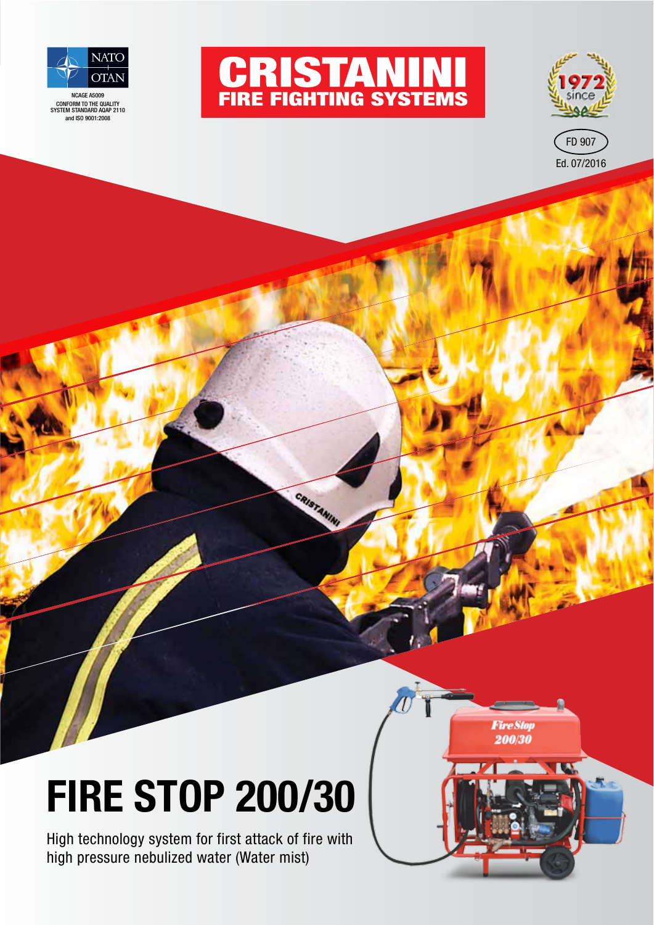

NCAGE A5009 CONFORM TO THE QUALITY SYSTEM STANDARD AQAP 2110 and ISO 9001:2008



CRISTANINI



**Fire Stop** 200/30

**IA** 

# **FIRE STOP 200/30**

High technology system for first attack of fire with high pressure nebulized water (Water mist)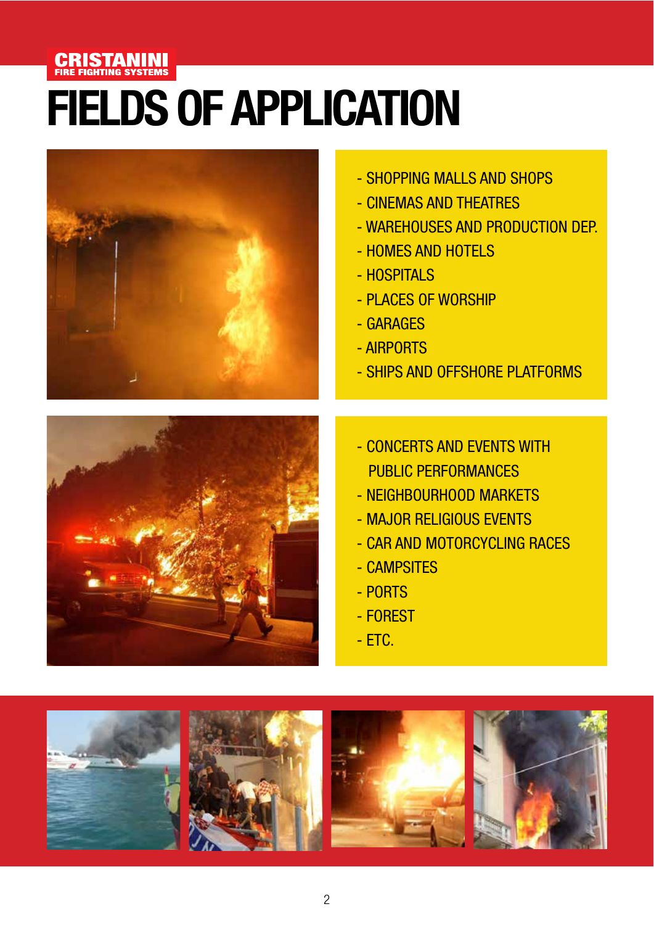#### **CRISTANINI**<br>FIRE FIGHTING SYSTEMS

# **FIELDS OF APPLICATION**



- SHOPPING MALLS AND SHOPS
- CINEMAS AND THEATRES
- WAREHOUSES AND PRODUCTION DEP.
- HOMES AND HOTELS
- HOSPITALS
- PLACES OF WORSHIP
- GARAGES
- AIRPORTS
- SHIPS AND OFFSHORE PLATFORMS



- CONCERTS AND EVENTS WITH PUBLIC PERFORMANCES
- NEIGHBOURHOOD MARKETS
- MAJOR RELIGIOUS EVENTS
- CAR AND MOTORCYCLING RACES
- CAMPSITES
- PORTS
- FOREST
- $-$  ETC.

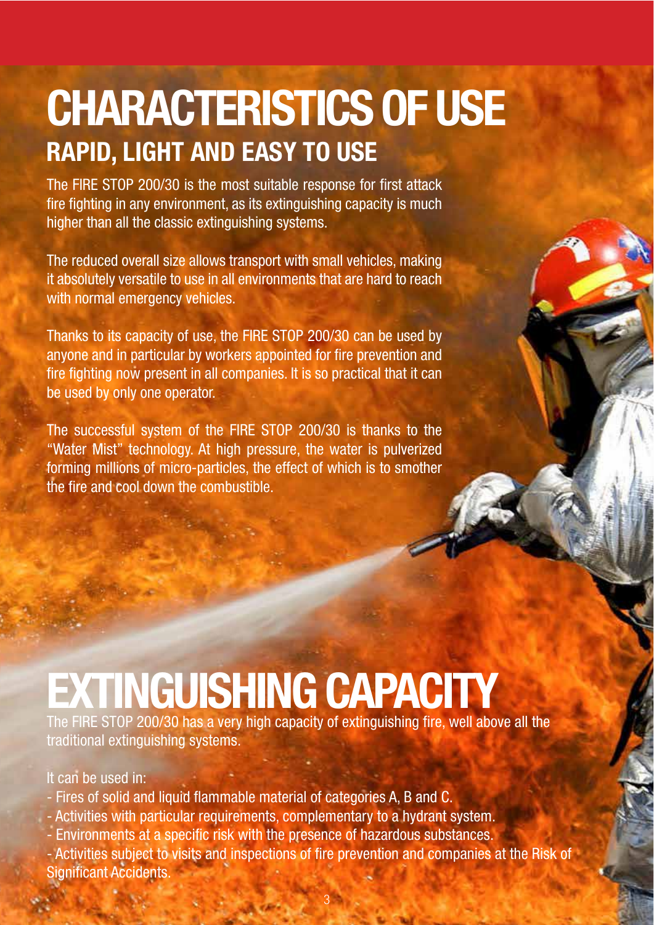## **RAPID, LIGHT AND EASY TO USE CHARACTERISTICS OF USE**

The FIRE STOP 200/30 is the most suitable response for first attack fire fighting in any environment, as its extinguishing capacity is much higher than all the classic extinguishing systems.

The reduced overall size allows transport with small vehicles, making it absolutely versatile to use in all environments that are hard to reach with normal emergency vehicles.

Thanks to its capacity of use, the FIRE STOP 200/30 can be used by anyone and in particular by workers appointed for fire prevention and fire fighting now present in all companies. It is so practical that it can be used by only one operator.

The successful system of the FIRE STOP 200/30 is thanks to the "Water Mist" technology. At high pressure, the water is pulverized forming millions of micro-particles, the effect of which is to smother the fire and cool down the combustible.

# **EXTINGUISHING CAPACITY**

The FIRE STOP 200/30 has a very high capacity of extinguishing fire, well above all the traditional extinguishing systems.

#### It can be used in:

- Fires of solid and liquid flammable material of categories A, B and C.
- Activities with particular requirements, complementary to a hydrant system.
- Environments at a specific risk with the presence of hazardous substances.

- Activities subject to visits and inspections of fire prevention and companies at the Risk of Significant Accidents.

3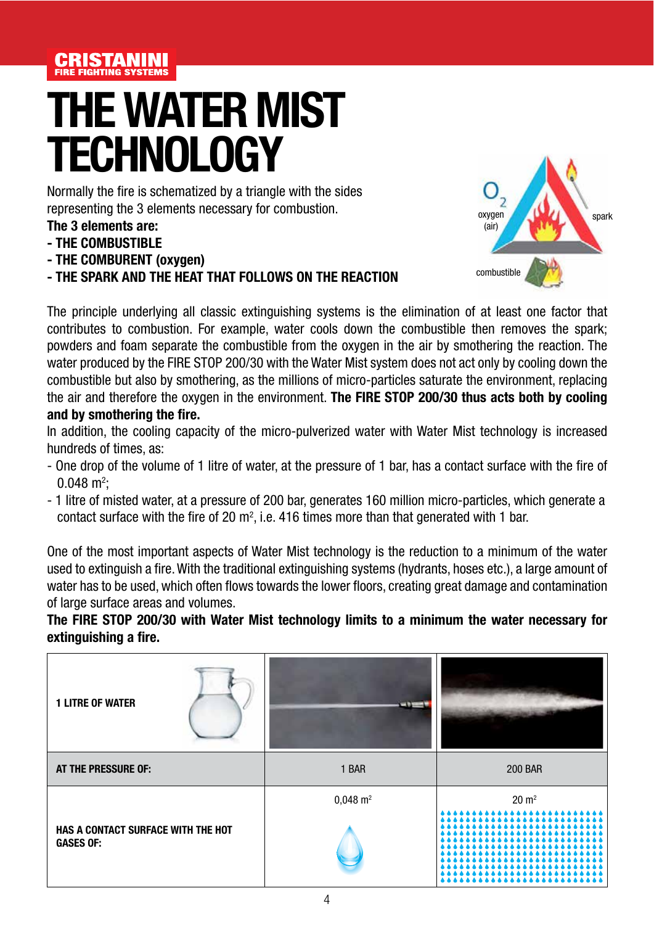

## **THE WATER MIST TECHNOLOGY**

Normally the fire is schematized by a triangle with the sides representing the 3 elements necessary for combustion.

- **The 3 elements are:**
- **THE COMBUSTIBLE**
- **THE COMBURENT (oxygen)**
- **THE SPARK AND THE HEAT THAT FOLLOWS ON THE REACTION**



The principle underlying all classic extinguishing systems is the elimination of at least one factor that contributes to combustion. For example, water cools down the combustible then removes the spark; powders and foam separate the combustible from the oxygen in the air by smothering the reaction. The water produced by the FIRE STOP 200/30 with the Water Mist system does not act only by cooling down the combustible but also by smothering, as the millions of micro-particles saturate the environment, replacing the air and therefore the oxygen in the environment. **The FIRE STOP 200/30 thus acts both by cooling and by smothering the fire.**

In addition, the cooling capacity of the micro-pulverized water with Water Mist technology is increased hundreds of times, as:

- One drop of the volume of 1 litre of water, at the pressure of 1 bar, has a contact surface with the fire of  $0.048 \text{ m}^2$ ;
- 1 litre of misted water, at a pressure of 200 bar, generates 160 million micro-particles, which generate a contact surface with the fire of 20  $m^2$ , i.e. 416 times more than that generated with 1 bar.

One of the most important aspects of Water Mist technology is the reduction to a minimum of the water used to extinguish a fire. With the traditional extinguishing systems (hydrants, hoses etc.), a large amount of water has to be used, which often flows towards the lower floors, creating great damage and contamination of large surface areas and volumes.

#### **The FIRE STOP 200/30 with Water Mist technology limits to a minimum the water necessary for extinguishing a fire.**

| <b>1 LITRE OF WATER</b>                                |                       |                  |
|--------------------------------------------------------|-----------------------|------------------|
| AT THE PRESSURE OF:                                    | 1 BAR                 | <b>200 BAR</b>   |
|                                                        | $0,048 \; \text{m}^2$ | $20 \text{ m}^2$ |
| HAS A CONTACT SURFACE WITH THE HOT<br><b>GASES OF:</b> |                       |                  |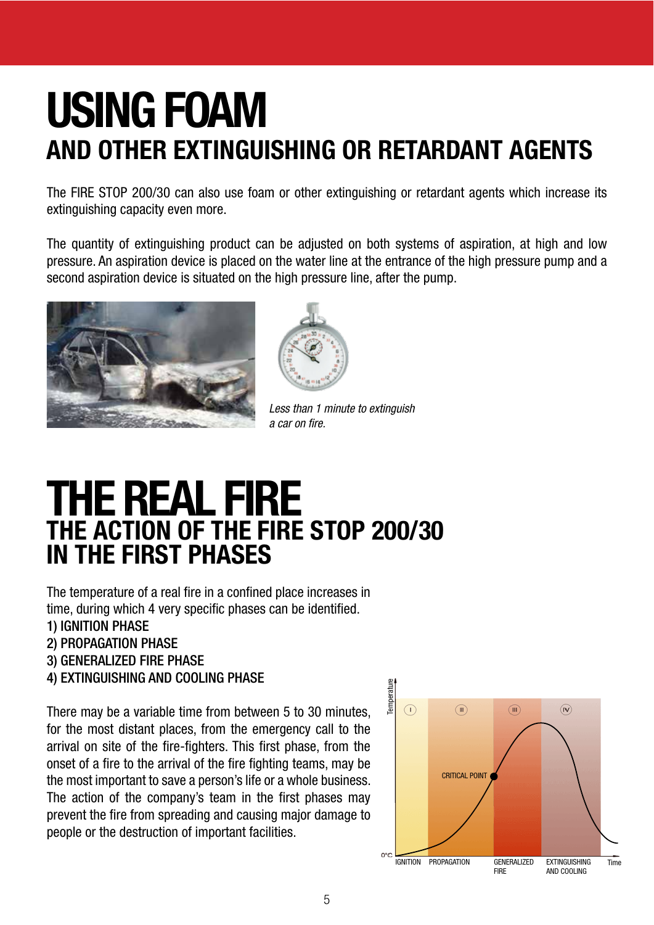### **USING FOAM AND OTHER EXTINGUISHING OR RETARDANT AGENTS**

The FIRE STOP 200/30 can also use foam or other extinguishing or retardant agents which increase its extinguishing capacity even more.

The quantity of extinguishing product can be adjusted on both systems of aspiration, at high and low pressure. An aspiration device is placed on the water line at the entrance of the high pressure pump and a second aspiration device is situated on the high pressure line, after the pump.





Less than 1 minute to extinguish a car on fire.

### **THE REAL FIRE THE ACTION OF THE FIRE STOP 200/30 IN THE FIRST PHASES**

The temperature of a real fire in a confined place increases in time, during which 4 very specific phases can be identified.

- 1) IGNITION PHASE
- 2) PROPAGATION PHASE
- 3) GENERALIZED FIRE PHASE
- 4) EXTINGUISHING AND COOLING PHASE

There may be a variable time from between 5 to 30 minutes, for the most distant places, from the emergency call to the arrival on site of the fire-fighters. This first phase, from the onset of a fire to the arrival of the fire fighting teams, may be the most important to save a person's life or a whole business. The action of the company's team in the first phases may prevent the fire from spreading and causing major damage to people or the destruction of important facilities.

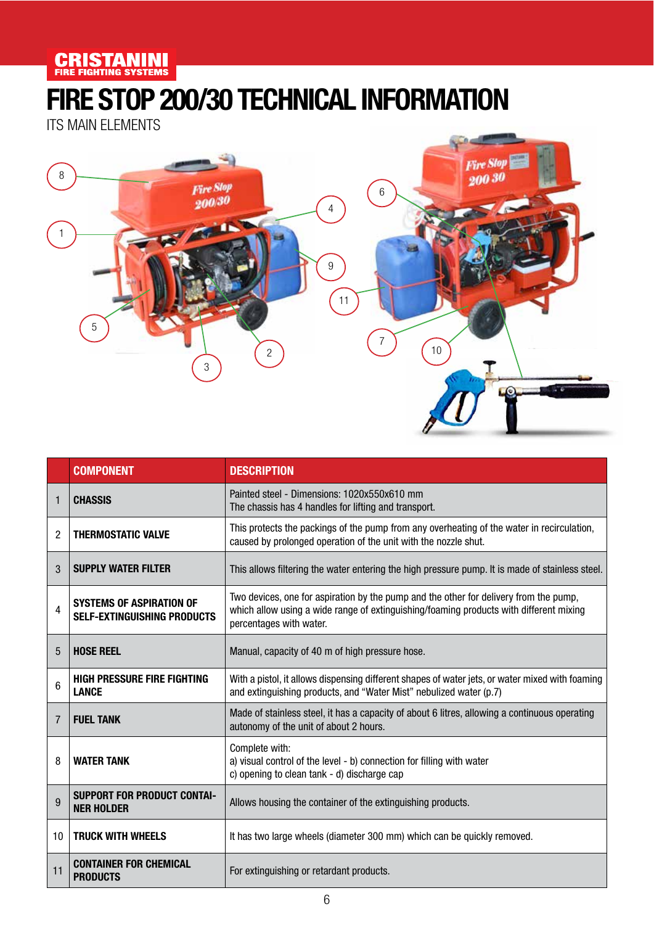#### **CRISTANINI**

### **FIRE STOP 200/30 TECHNICAL INFORMATION**

ITS MAIN ELEMENTS



|                | <b>COMPONENT</b>                                                      | <b>DESCRIPTION</b>                                                                                                                                                                                         |  |
|----------------|-----------------------------------------------------------------------|------------------------------------------------------------------------------------------------------------------------------------------------------------------------------------------------------------|--|
|                | <b>CHASSIS</b>                                                        | Painted steel - Dimensions: 1020x550x610 mm<br>The chassis has 4 handles for lifting and transport.                                                                                                        |  |
| $\overline{2}$ | <b>THERMOSTATIC VALVE</b>                                             | This protects the packings of the pump from any overheating of the water in recirculation,<br>caused by prolonged operation of the unit with the nozzle shut.                                              |  |
| 3              | <b>SUPPLY WATER FILTER</b>                                            | This allows filtering the water entering the high pressure pump. It is made of stainless steel.                                                                                                            |  |
| 4              | <b>SYSTEMS OF ASPIRATION OF</b><br><b>SELF-EXTINGUISHING PRODUCTS</b> | Two devices, one for aspiration by the pump and the other for delivery from the pump,<br>which allow using a wide range of extinguishing/foaming products with different mixing<br>percentages with water. |  |
| 5              | <b>HOSE REEL</b>                                                      | Manual, capacity of 40 m of high pressure hose.                                                                                                                                                            |  |
| 6              | <b>HIGH PRESSURE FIRE FIGHTING</b><br><b>LANCE</b>                    | With a pistol, it allows dispensing different shapes of water jets, or water mixed with foaming<br>and extinguishing products, and "Water Mist" nebulized water (p.7)                                      |  |
| 7              | <b>FUEL TANK</b>                                                      | Made of stainless steel, it has a capacity of about 6 litres, allowing a continuous operating<br>autonomy of the unit of about 2 hours.                                                                    |  |
| 8              | <b>WATER TANK</b>                                                     | Complete with:<br>a) visual control of the level - b) connection for filling with water<br>c) opening to clean tank - d) discharge cap                                                                     |  |
| 9              | <b>SUPPORT FOR PRODUCT CONTAI-</b><br><b>NER HOLDER</b>               | Allows housing the container of the extinguishing products.                                                                                                                                                |  |
| 10             | <b>TRUCK WITH WHEELS</b>                                              | It has two large wheels (diameter 300 mm) which can be quickly removed.                                                                                                                                    |  |
| 11             | <b>CONTAINER FOR CHEMICAL</b><br><b>PRODUCTS</b>                      | For extinguishing or retardant products.                                                                                                                                                                   |  |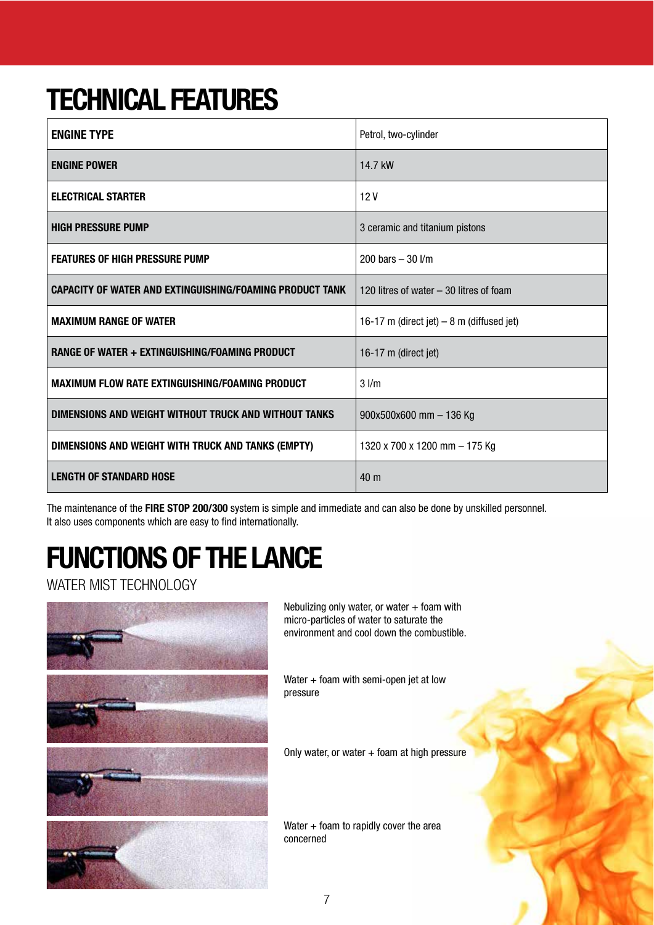### **TECHNICAL FEATURES**

| <b>ENGINE TYPE</b>                                              | Petrol, two-cylinder                       |
|-----------------------------------------------------------------|--------------------------------------------|
| <b>ENGINE POWER</b>                                             | 14.7 kW                                    |
| <b>ELECTRICAL STARTER</b>                                       | 12V                                        |
| <b>HIGH PRESSURE PUMP</b>                                       | 3 ceramic and titanium pistons             |
| <b>FEATURES OF HIGH PRESSURE PUMP</b>                           | 200 bars $-30$ $1/m$                       |
| <b>CAPACITY OF WATER AND EXTINGUISHING/FOAMING PRODUCT TANK</b> | 120 litres of water - 30 litres of foam    |
| <b>MAXIMUM RANGE OF WATER</b>                                   | 16-17 m (direct jet) $-8$ m (diffused jet) |
| RANGE OF WATER + EXTINGUISHING/FOAMING PRODUCT                  | 16-17 m (direct jet)                       |
| <b>MAXIMUM FLOW RATE EXTINGUISHING/FOAMING PRODUCT</b>          | $3$ $1/m$                                  |
| DIMENSIONS AND WEIGHT WITHOUT TRUCK AND WITHOUT TANKS           | $900x500x600$ mm $-136$ Kg                 |
| DIMENSIONS AND WEIGHT WITH TRUCK AND TANKS (EMPTY)              | 1320 x 700 x 1200 mm - 175 Kg              |
| <b>LENGTH OF STANDARD HOSE</b>                                  | 40 <sub>m</sub>                            |

The maintenance of the **FIRE STOP 200/300** system is simple and immediate and can also be done by unskilled personnel. It also uses components which are easy to find internationally.

### **FUNCTIONS OF THE LANCE**

WATER MIST TECHNOLOGY



Nebulizing only water, or water  $+$  foam with micro-particles of water to saturate the environment and cool down the combustible.

Water + foam with semi-open jet at low pressure

Only water, or water  $+$  foam at high pressure

Water  $+$  foam to rapidly cover the area concerned